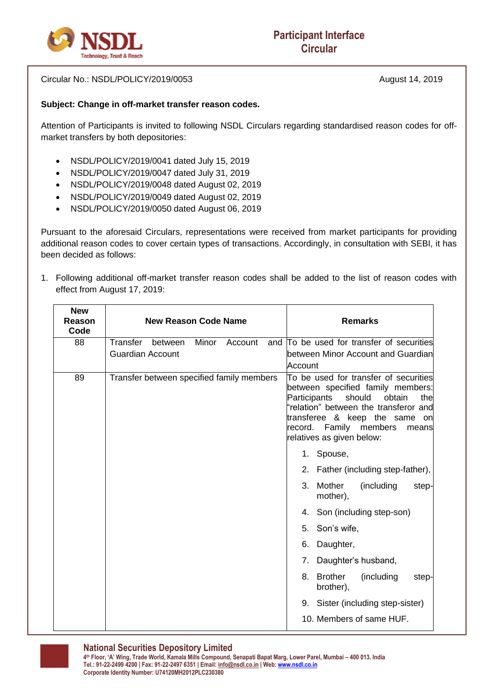

Circular No.: NSDL/POLICY/2019/0053 August 14, 2019

## **Subject: Change in off-market transfer reason codes.**

Attention of Participants is invited to following NSDL Circulars regarding standardised reason codes for offmarket transfers by both depositories:

- NSDL/POLICY/2019/0041 dated July 15, 2019
- NSDL/POLICY/2019/0047 dated July 31, 2019
- NSDL/POLICY/2019/0048 dated August 02, 2019
- NSDL/POLICY/2019/0049 dated August 02, 2019
- NSDL/POLICY/2019/0050 dated August 06, 2019

Pursuant to the aforesaid Circulars, representations were received from market participants for providing additional reason codes to cover certain types of transactions. Accordingly, in consultation with SEBI, it has been decided as follows:

1. Following additional off-market transfer reason codes shall be added to the list of reason codes with effect from August 17, 2019:

| <b>New</b><br>Reason<br>Code | <b>New Reason Code Name</b><br><b>Remarks</b>                                                                                                                                                                                                                                                                 |
|------------------------------|---------------------------------------------------------------------------------------------------------------------------------------------------------------------------------------------------------------------------------------------------------------------------------------------------------------|
| 88                           | Transfer<br>Minor<br>and To be used for transfer of securities<br>between<br>Account                                                                                                                                                                                                                          |
|                              | <b>Guardian Account</b><br>between Minor Account and Guardian<br>Account                                                                                                                                                                                                                                      |
| 89                           | Transfer between specified family members<br>To be used for transfer of securities<br>between specified family members:<br>Participants<br>should<br>obtain<br>thel<br>'relation" between the transferor and<br>transferee & keep the same on<br>record. Family members<br>means<br>relatives as given below: |
|                              | 1. Spouse,                                                                                                                                                                                                                                                                                                    |
|                              | 2. Father (including step-father),                                                                                                                                                                                                                                                                            |
|                              | Mother<br>(including<br>3.<br>step-<br>mother),                                                                                                                                                                                                                                                               |
|                              | 4. Son (including step-son)                                                                                                                                                                                                                                                                                   |
|                              | 5. Son's wife,                                                                                                                                                                                                                                                                                                |
|                              | Daughter,<br>6.                                                                                                                                                                                                                                                                                               |
|                              | Daughter's husband,<br>7.                                                                                                                                                                                                                                                                                     |
|                              | <b>Brother</b><br>(including<br>8.<br>step-<br>brother),                                                                                                                                                                                                                                                      |
|                              | 9. Sister (including step-sister)                                                                                                                                                                                                                                                                             |
|                              | 10. Members of same HUF.                                                                                                                                                                                                                                                                                      |